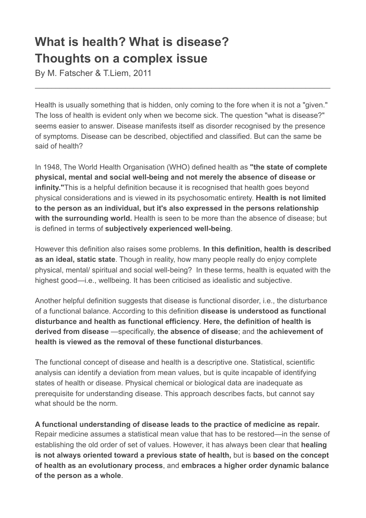## **What is health? What is disease? Thoughts on a complex issue**

By M. Fatscher & T.Liem, 2011

Health is usually something that is hidden, only coming to the fore when it is not a "given." The loss of health is evident only when we become sick. The question "what is disease?" seems easier to answer. Disease manifests itself as disorder recognised by the presence of symptoms. Disease can be described, objectified and classified. But can the same be said of health?

\_\_\_\_\_\_\_\_\_\_\_\_\_\_\_\_\_\_\_\_\_\_\_\_\_\_\_\_\_\_\_\_\_\_\_\_\_\_\_\_\_\_\_\_\_\_\_\_\_\_\_\_\_\_\_\_\_\_\_\_\_\_\_\_\_\_\_\_\_\_\_\_

In 1948, The World Health Organisation (WHO) defined health as **"the state of complete physical, mental and social well-being and not merely the absence of disease or infinity."**This is a helpful definition because it is recognised that health goes beyond physical considerations and is viewed in its psychosomatic entirety. **Health is not limited to the person as an individual, but it's also expressed in the persons relationship with the surrounding world.** Health is seen to be more than the absence of disease; but is defined in terms of **subjectively experienced well-being**.

However this definition also raises some problems. **In this definition, health is described as an ideal, static state**. Though in reality, how many people really do enjoy complete physical, mental/ spiritual and social well-being? In these terms, health is equated with the highest good—i.e., wellbeing. It has been criticised as idealistic and subjective.

Another helpful definition suggests that disease is functional disorder, i.e., the disturbance of a functional balance. According to this definition **disease is understood as functional disturbance and health as functional efficiency**. **Here, the definition of health is derived from disease** —specifically, **the absence of disease**; and t**he achievement of health is viewed as the removal of these functional disturbances**.

The functional concept of disease and health is a descriptive one. Statistical, scientific analysis can identify a deviation from mean values, but is quite incapable of identifying states of health or disease. Physical chemical or biological data are inadequate as prerequisite for understanding disease. This approach describes facts, but cannot say what should be the norm.

**A functional understanding of disease leads to the practice of medicine as repair.** Repair medicine assumes a statistical mean value that has to be restored—in the sense of establishing the old order of set of values. However, it has always been clear that **healing is not always oriented toward a previous state of health,** but is **based on the concept of health as an evolutionary process**, and **embraces a higher order dynamic balance of the person as a whole**.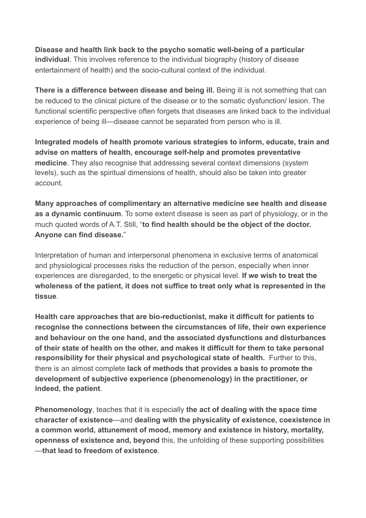**Disease and health link back to the psycho somatic well-being of a particular individual**. This involves reference to the individual biography (history of disease entertainment of health) and the socio-cultural context of the individual.

**There is a difference between disease and being ill.** Being ill is not something that can be reduced to the clinical picture of the disease or to the somatic dysfunction/ lesion. The functional scientific perspective often forgets that diseases are linked back to the individual experience of being ill—disease cannot be separated from person who is ill.

**Integrated models of health promote various strategies to inform, educate, train and advise on matters of health, encourage self-help and promotes preventative medicine**. They also recognise that addressing several context dimensions (system levels), such as the spiritual dimensions of health, should also be taken into greater account.

**Many approaches of complimentary an alternative medicine see health and disease as a dynamic continuum**. To some extent disease is seen as part of physiology, or in the much quoted words of A.T. Still, "**to find health should be the object of the doctor. Anyone can find disease.**"

Interpretation of human and interpersonal phenomena in exclusive terms of anatomical and physiological processes risks the reduction of the person, especially when inner experiences are disregarded, to the energetic or physical level. **If we wish to treat the wholeness of the patient, it does not suffice to treat only what is represented in the tissue**.

**Health care approaches that are bio-reductionist, make it difficult for patients to recognise the connections between the circumstances of life, their own experience and behaviour on the one hand, and the associated dysfunctions and disturbances of their state of health on the other, and makes it difficult for them to take personal responsibility for their physical and psychological state of health.** Further to this, there is an almost complete **lack of methods that provides a basis to promote the development of subjective experience (phenomenology) in the practitioner, or indeed, the patient**.

**Phenomenology**, teaches that it is especially **the act of dealing with the space time character of existence**—and **dealing with the physicality of existence, coexistence in a common world, attunement of mood, memory and existence in history, mortality, openness of existence and, beyond** this, the unfolding of these supporting possibilities —**that lead to freedom of existence**.